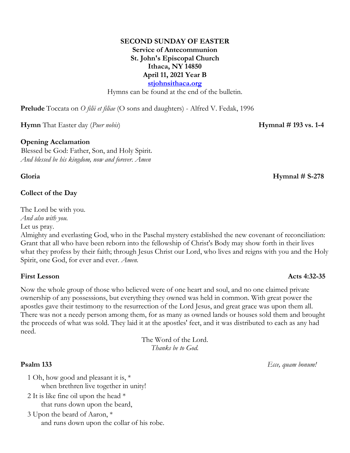### **SECOND SUNDAY OF EASTER Service of Antecommunion St. John's Episcopal Church Ithaca, NY 14850 April 11, 2021 Year B stjohnsithaca.org**

Hymns can be found at the end of the bulletin.

**Prelude** Toccata on *O filii et filiae* (O sons and daughters) - Alfred V. Fedak, 1996

**Hymn** That Easter day (*Puer nobis*) **Hymnal # 193 vs. 1-4**

### **Opening Acclamation**

Blessed be God: Father, Son, and Holy Spirit. *And blessed be his kingdom, now and forever. Amen*

### **Collect of the Day**

The Lord be with you.

*And also with you.*

Let us pray.

Almighty and everlasting God, who in the Paschal mystery established the new covenant of reconciliation: Grant that all who have been reborn into the fellowship of Christ's Body may show forth in their lives what they profess by their faith; through Jesus Christ our Lord, who lives and reigns with you and the Holy Spirit, one God, for ever and ever. *Amen.*

### **First Lesson Acts 4:32-35**

Now the whole group of those who believed were of one heart and soul, and no one claimed private ownership of any possessions, but everything they owned was held in common. With great power the apostles gave their testimony to the resurrection of the Lord Jesus, and great grace was upon them all. There was not a needy person among them, for as many as owned lands or houses sold them and brought the proceeds of what was sold. They laid it at the apostles' feet, and it was distributed to each as any had need.

> The Word of the Lord. *Thanks be to God.*

- 1 Oh, how good and pleasant it is, \* when brethren live together in unity!
- 2 It is like fine oil upon the head \* that runs down upon the beard,
- 3 Upon the beard of Aaron, \* and runs down upon the collar of his robe.

**Gloria Hymnal # S-278**

### **Psalm 133** *Ecce, quam bonum!*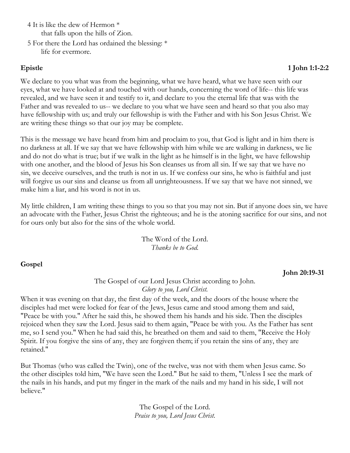4 It is like the dew of Hermon \* that falls upon the hills of Zion.

5 For there the Lord has ordained the blessing: \* life for evermore.

# **Epistle 1 John 1:1-2:2**

We declare to you what was from the beginning, what we have heard, what we have seen with our eyes, what we have looked at and touched with our hands, concerning the word of life-- this life was revealed, and we have seen it and testify to it, and declare to you the eternal life that was with the Father and was revealed to us-- we declare to you what we have seen and heard so that you also may have fellowship with us; and truly our fellowship is with the Father and with his Son Jesus Christ. We are writing these things so that our joy may be complete.

This is the message we have heard from him and proclaim to you, that God is light and in him there is no darkness at all. If we say that we have fellowship with him while we are walking in darkness, we lie and do not do what is true; but if we walk in the light as he himself is in the light, we have fellowship with one another, and the blood of Jesus his Son cleanses us from all sin. If we say that we have no sin, we deceive ourselves, and the truth is not in us. If we confess our sins, he who is faithful and just will forgive us our sins and cleanse us from all unrighteousness. If we say that we have not sinned, we make him a liar, and his word is not in us.

My little children, I am writing these things to you so that you may not sin. But if anyone does sin, we have an advocate with the Father, Jesus Christ the righteous; and he is the atoning sacrifice for our sins, and not for ours only but also for the sins of the whole world.

> The Word of the Lord. *Thanks be to God.*

# **Gospel**

**John 20:19-31**

The Gospel of our Lord Jesus Christ according to John. *Glory to you, Lord Christ.*

When it was evening on that day, the first day of the week, and the doors of the house where the disciples had met were locked for fear of the Jews, Jesus came and stood among them and said, "Peace be with you." After he said this, he showed them his hands and his side. Then the disciples rejoiced when they saw the Lord. Jesus said to them again, "Peace be with you. As the Father has sent me, so I send you." When he had said this, he breathed on them and said to them, "Receive the Holy Spirit. If you forgive the sins of any, they are forgiven them; if you retain the sins of any, they are retained."

But Thomas (who was called the Twin), one of the twelve, was not with them when Jesus came. So the other disciples told him, "We have seen the Lord." But he said to them, "Unless I see the mark of the nails in his hands, and put my finger in the mark of the nails and my hand in his side, I will not believe."

> The Gospel of the Lord. *Praise to you, Lord Jesus Christ.*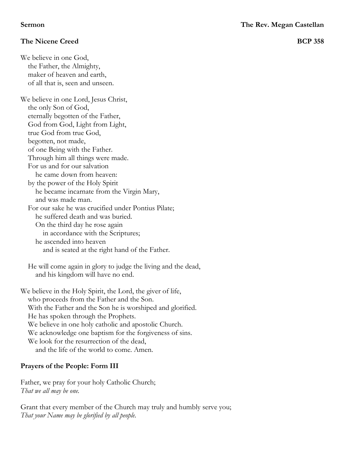## **The Nicene Creed BCP 358**

We believe in one God, the Father, the Almighty, maker of heaven and earth, of all that is, seen and unseen.

We believe in one Lord, Jesus Christ, the only Son of God, eternally begotten of the Father, God from God, Light from Light, true God from true God, begotten, not made, of one Being with the Father. Through him all things were made. For us and for our salvation he came down from heaven: by the power of the Holy Spirit he became incarnate from the Virgin Mary, and was made man. For our sake he was crucified under Pontius Pilate; he suffered death and was buried. On the third day he rose again in accordance with the Scriptures; he ascended into heaven and is seated at the right hand of the Father.

He will come again in glory to judge the living and the dead, and his kingdom will have no end.

We believe in the Holy Spirit, the Lord, the giver of life, who proceeds from the Father and the Son. With the Father and the Son he is worshiped and glorified. He has spoken through the Prophets. We believe in one holy catholic and apostolic Church. We acknowledge one baptism for the forgiveness of sins. We look for the resurrection of the dead, and the life of the world to come. Amen.

## **Prayers of the People: Form III**

Father, we pray for your holy Catholic Church; *That we all may be one.*

Grant that every member of the Church may truly and humbly serve you; *That your Name may be glorified by all people.*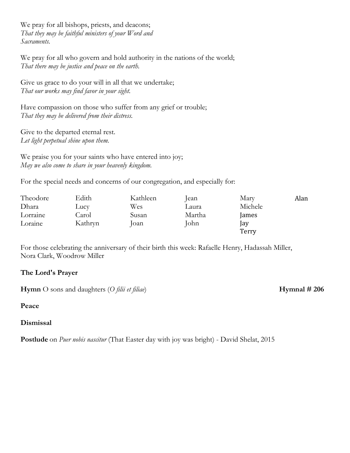We pray for all bishops, priests, and deacons; *That they may be faithful ministers of your Word and Sacraments.*

We pray for all who govern and hold authority in the nations of the world; *That there may be justice and peace on the earth.*

Give us grace to do your will in all that we undertake; *That our works may find favor in your sight.*

Have compassion on those who suffer from any grief or trouble; *That they may be delivered from their distress.*

Give to the departed eternal rest. *Let light perpetual shine upon them.*

We praise you for your saints who have entered into joy; *May we also come to share in your heavenly kingdom.*

For the special needs and concerns of our congregation, and especially for:

| Theodore | Edith   | Kathleen | ean    | Mary       | Alan |
|----------|---------|----------|--------|------------|------|
| Dhara    | Lucy    | Wes      | Laura  | Michele    |      |
| Lorraine | Carol   | Susan    | Martha | James      |      |
| Loraine  | Kathryn | Joan     | John   | <b>lay</b> |      |
|          |         |          |        | Terry      |      |

For those celebrating the anniversary of their birth this week: Rafaelle Henry, Hadassah Miller, Nora Clark, Woodrow Miller

## **The Lord's Prayer**

**Hymn** O sons and daughters (O *filii et filiae*) **Hymnal # 206** 

**Peace**

**Dismissal**

**Postlude** on *Puer nobis nascitur* (That Easter day with joy was bright) - David Shelat, 2015